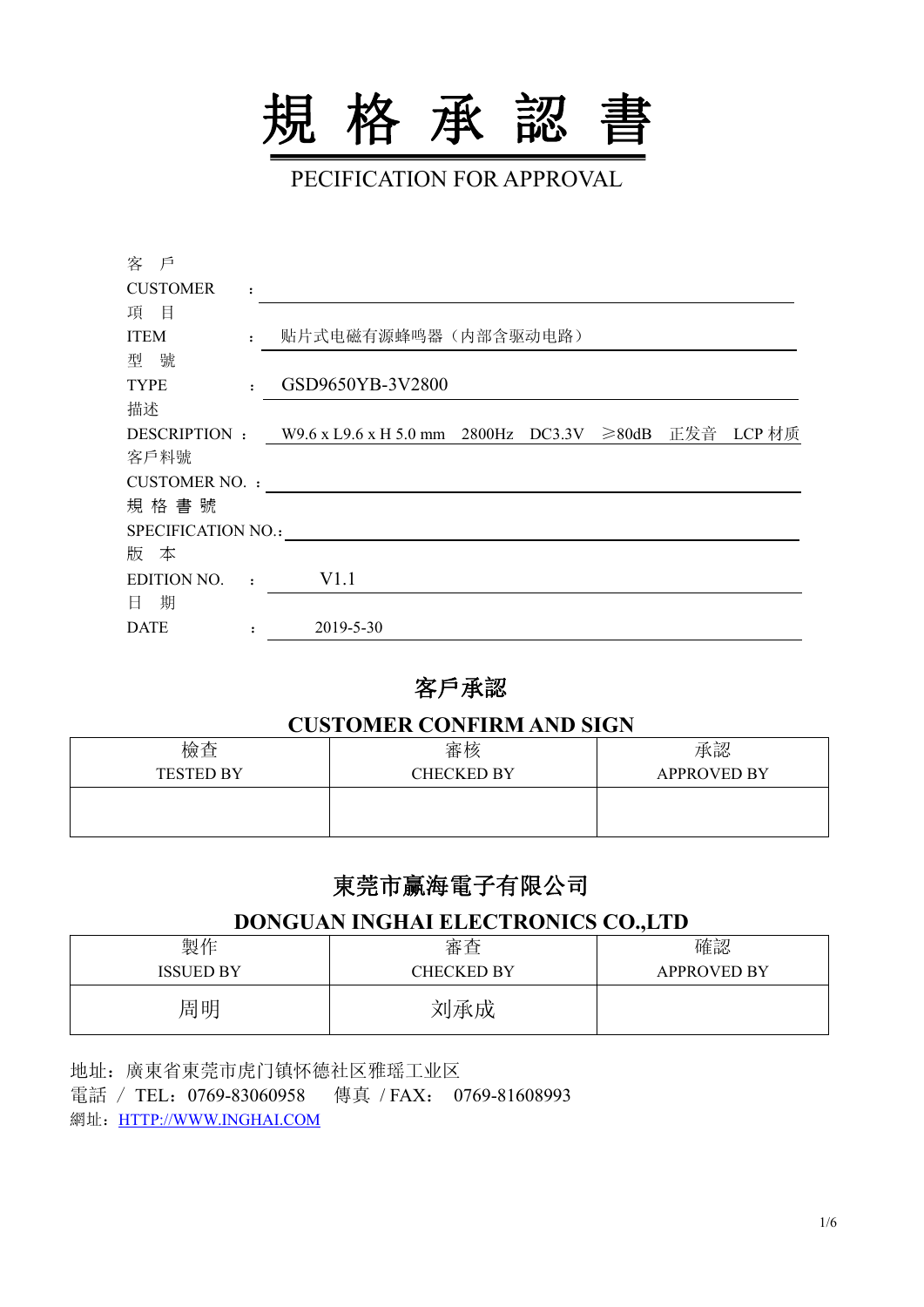

PECIFICATION FOR APPROVAL

| 客 戶                   |                |                                                                |
|-----------------------|----------------|----------------------------------------------------------------|
| <b>CUSTOMER</b>       | $\ddot{\cdot}$ |                                                                |
| 項<br>目                |                |                                                                |
| <b>ITEM</b>           |                | 贴片式电磁有源蜂鸣器(内部含驱动电路)                                            |
| 型 號                   |                |                                                                |
| <b>TYPE</b>           |                | GSD9650YB-3V2800                                               |
| 描述                    |                |                                                                |
| DESCRIPTION:          |                | ≥80dB 正发音<br>LCP 材质<br>W9.6 x L9.6 x H 5.0 mm 2800Hz<br>DC3.3V |
| 客戶料號                  |                |                                                                |
| <b>CUSTOMER NO. :</b> |                |                                                                |
| 規格書號                  |                |                                                                |
| SPECIFICATION NO.:    |                |                                                                |
| 版 本                   |                |                                                                |
| <b>EDITION NO.</b>    | $\cdot$        | V1.1                                                           |
| 期<br>日                |                |                                                                |
| <b>DATE</b>           |                | 2019-5-30                                                      |

### 客戶承認

#### **CUSTOMER CONFIRM AND SIGN**

| 檢查               | 審核                | 承認                 |
|------------------|-------------------|--------------------|
| <b>TESTED BY</b> | <b>CHECKED BY</b> | <b>APPROVED BY</b> |
|                  |                   |                    |

## 東莞市赢海電子有限公司

#### **DONGUAN INGHAI ELECTRONICS CO.,LTD**

| 製作               | 審查                | 確認                 |
|------------------|-------------------|--------------------|
| <b>ISSUED BY</b> | <b>CHECKED BY</b> | <b>APPROVED BY</b> |
| 周明               | 刘承成               |                    |

地址:廣東省東莞市虎门镇怀德社区雅瑶工业区 電話 / TEL:0769-83060958 傳真 /FAX: 0769-81608993 網址: [HTTP://WWW.INGHAI.COM](http://www.inghai.com)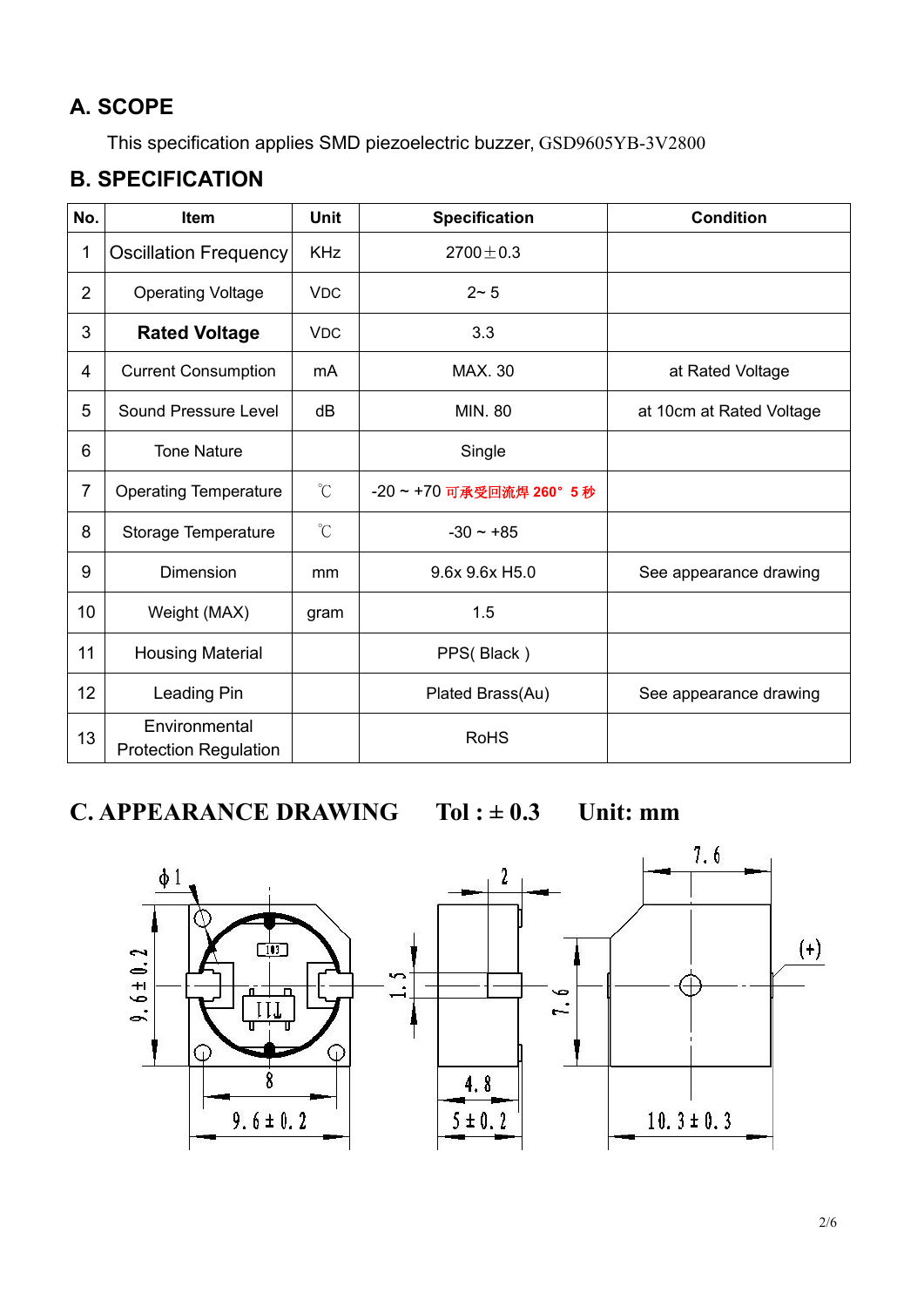# **A. SCOPE**

This specification applies SMD piezoelectric buzzer, GSD9605YB-3V2800

## **B. SPECIFICATION**

| No.            | Item                                          | <b>Unit</b>          | <b>Specification</b>  | <b>Condition</b>         |
|----------------|-----------------------------------------------|----------------------|-----------------------|--------------------------|
| 1              | Oscillation Frequency                         | <b>KHz</b>           | $2700 \pm 0.3$        |                          |
| $\overline{2}$ | <b>Operating Voltage</b>                      | <b>VDC</b>           | $2 - 5$               |                          |
| 3              | <b>Rated Voltage</b>                          | <b>VDC</b>           | 3.3                   |                          |
| 4              | <b>Current Consumption</b>                    | mA                   | <b>MAX. 30</b>        | at Rated Voltage         |
| 5              | Sound Pressure Level                          | dB                   | <b>MIN. 80</b>        | at 10cm at Rated Voltage |
| 6              | <b>Tone Nature</b>                            |                      | Single                |                          |
| $\overline{7}$ | <b>Operating Temperature</b>                  | $\mathrm{C}$         | -20~+70 可承受回流焊 260°5秒 |                          |
| 8              | Storage Temperature                           | $\mathrm{C}^{\circ}$ | $-30 \sim +85$        |                          |
| 9              | Dimension                                     | mm                   | 9.6x 9.6x H5.0        | See appearance drawing   |
| 10             | Weight (MAX)                                  | gram                 | 1.5                   |                          |
| 11             | <b>Housing Material</b>                       |                      | PPS(Black)            |                          |
| 12             | Leading Pin                                   |                      | Plated Brass(Au)      | See appearance drawing   |
| 13             | Environmental<br><b>Protection Regulation</b> |                      | <b>RoHS</b>           |                          |

**C. APPEARANCE DRAWING**  $T$ **ol**  $:= 0.3$  **Unit:** mm

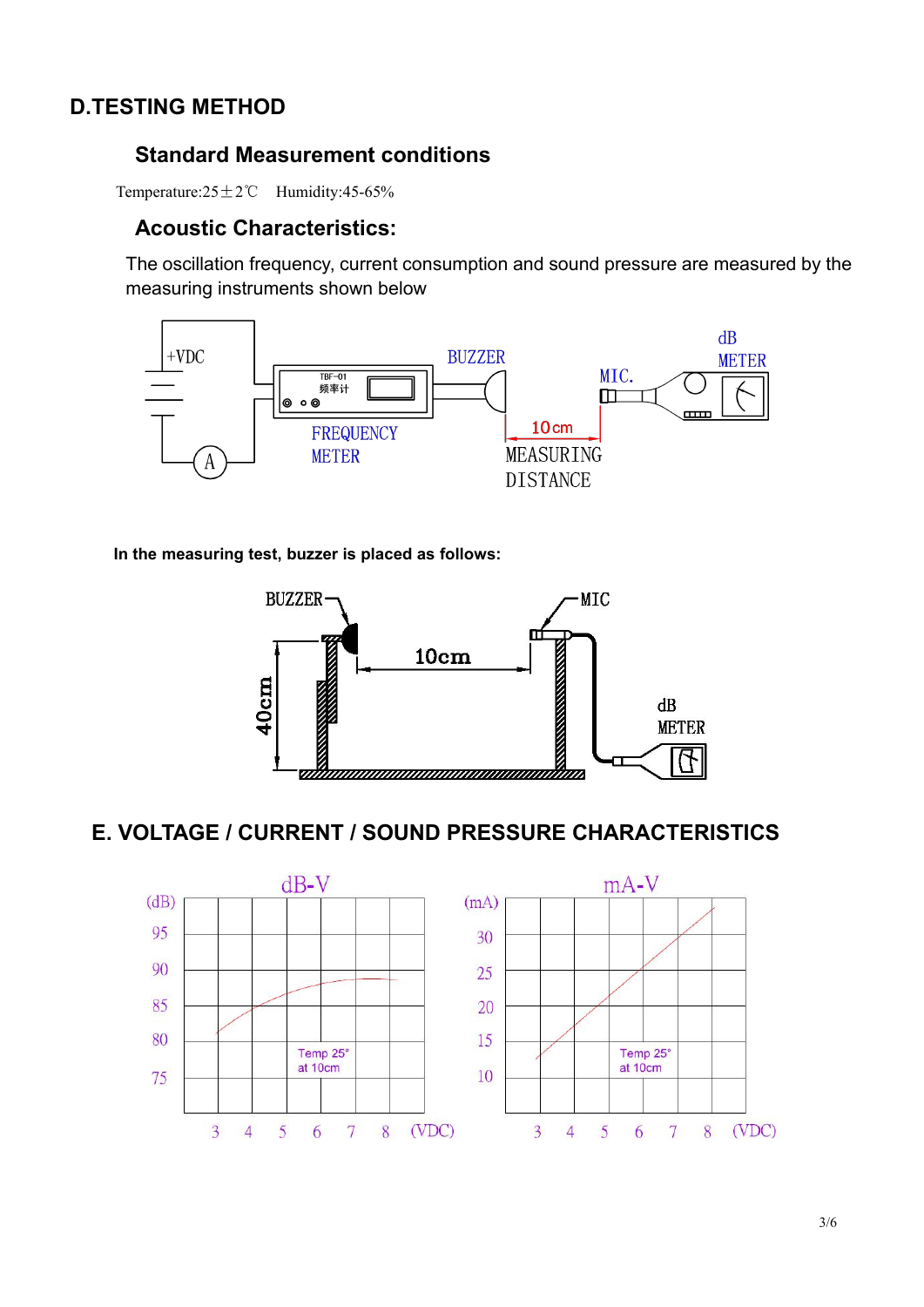### **D.TESTING METHOD**

### **Standard Measurement conditions**

Temperature:25±2℃ Humidity:45-65%

### **Acoustic Characteristics:**

The oscillation frequency, current consumption and sound pressure are measured by the measuring instruments shown below



**In the measuring test, buzzer is placed as follows:**



### **E. VOLTAGE / CURRENT / SOUND PRESSURE CHARACTERISTICS**

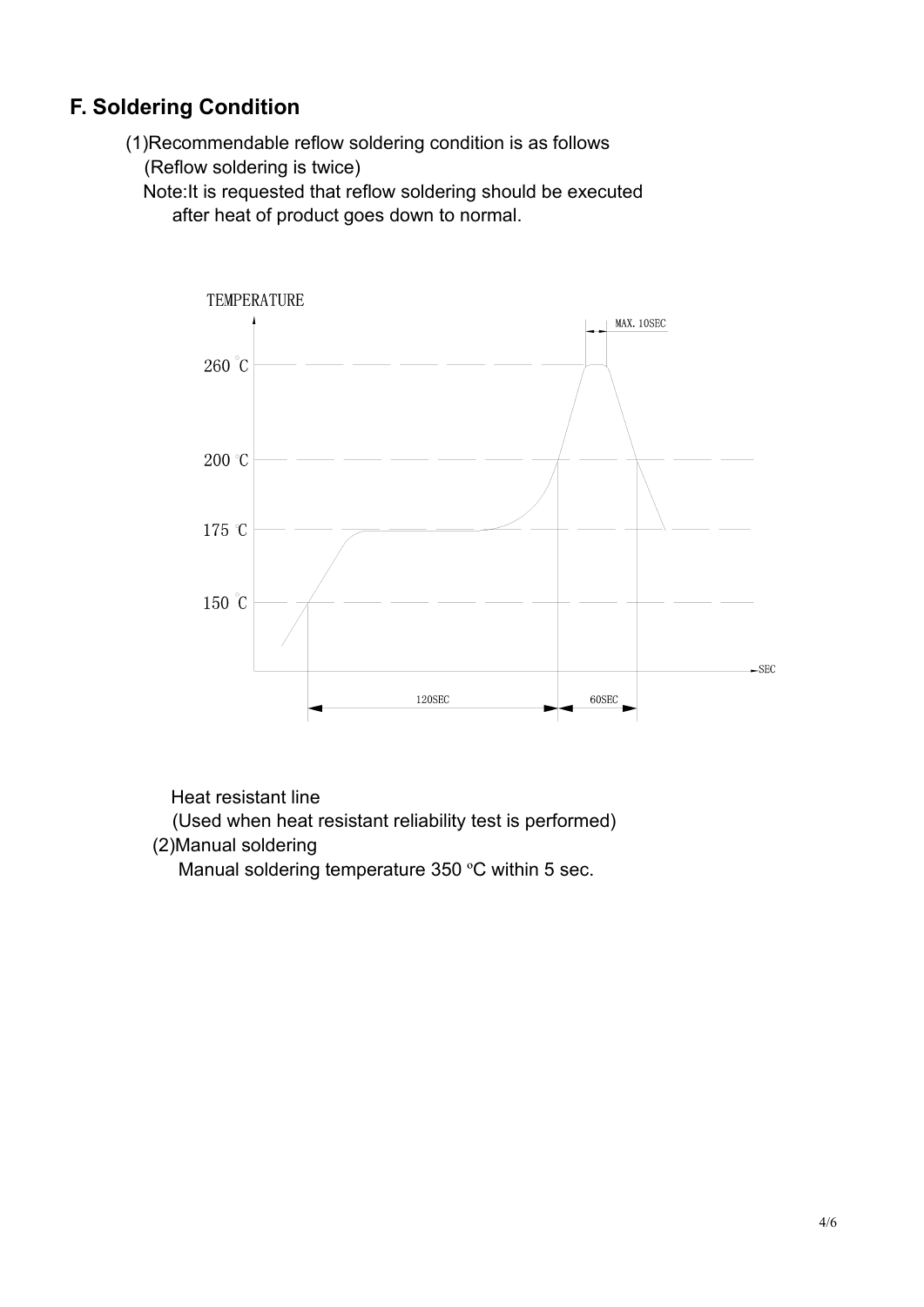## **F. Soldering Condition**

(1)Recommendable reflow soldering condition is as follows (Reflow soldering is twice)

Note:It is requested that reflow soldering should be executed after heat of product goes down to normal.



Heat resistant line

(Used when heat resistant reliability test is performed)

(2)Manual soldering

Manual soldering temperature 350 °C within 5 sec.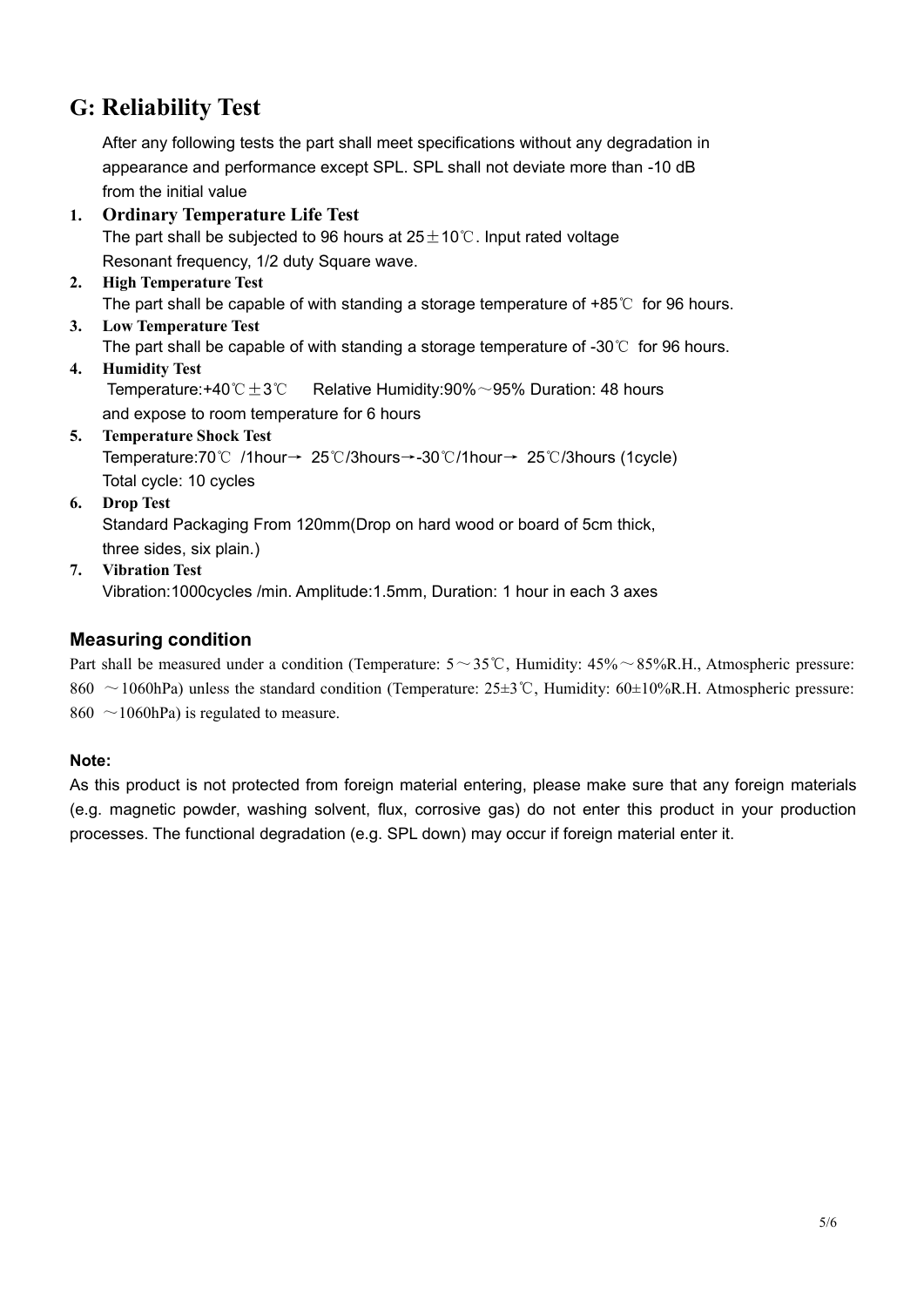## **G: Reliability Test**

After any following tests the part shall meet specifications without any degradation in appearance and performance except SPL. SPL shall not deviate more than -10 dB from the initial value

- **1. Ordinary Temperature Life Test** The part shall be subjected to 96 hours at  $25±10°C$ . Input rated voltage Resonant frequency, 1/2 duty Square wave.
- **2. High Temperature Test** The part shall be capable of with standing a storage temperature of +85℃ for 96 hours.
- **3. Low Temperature Test** The part shall be capable of with standing a storage temperature of -30℃ for 96 hours.
- **4. Humidity Test** Temperature:+40℃±3℃ Relative Humidity:90%~95% Duration: 48 hours and expose to room temperature for 6 hours
- **5. Temperature Shock Test** Temperature:70℃ /1hour→ 25℃/3hours→-30℃/1hour→ 25℃/3hours (1cycle) Total cycle: 10 cycles
- **6. Drop Test**

Standard Packaging From 120mm(Drop on hard wood or board of 5cm thick, three sides, six plain.)

**7. Vibration Test** Vibration:1000cycles /min. Amplitude:1.5mm, Duration: 1 hour in each 3 axes

#### **Measuring condition**

Part shall be measured under a condition (Temperature:  $5 \sim 35^{\circ}$ C, Humidity:  $45\% \sim 85\%$ R.H., Atmospheric pressure: 860 ~1060hPa) unless the standard condition (Temperature: 25±3℃, Humidity: 60±10%R.H. Atmospheric pressure: 860  $\sim$ 1060hPa) is regulated to measure.

#### **Note:**

As this product is not protected from foreign material entering, please make sure that any foreign materials (e.g. magnetic powder, washing solvent, flux, corrosive gas) do not enter this product in your production processes. The functional degradation (e.g. SPL down) may occur if foreign material enter it.